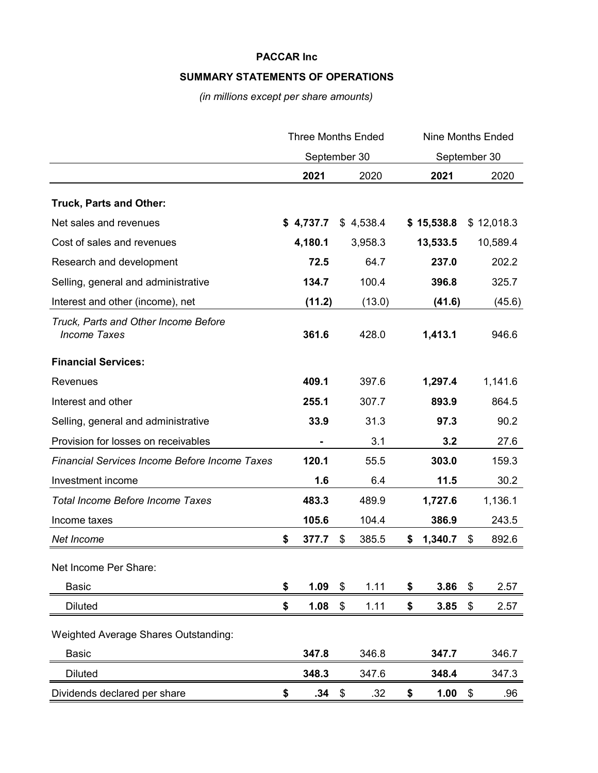## **SUMMARY STATEMENTS OF OPERATIONS**

*(in millions except per share amounts)*

|                                                             | <b>Three Months Ended</b><br>September 30 |           |                       | <b>Nine Months Ended</b><br>September 30 |    |            |    |            |
|-------------------------------------------------------------|-------------------------------------------|-----------|-----------------------|------------------------------------------|----|------------|----|------------|
|                                                             |                                           |           |                       |                                          |    |            |    |            |
|                                                             |                                           | 2021      |                       | 2020                                     |    | 2021       |    | 2020       |
| Truck, Parts and Other:                                     |                                           |           |                       |                                          |    |            |    |            |
| Net sales and revenues                                      |                                           | \$4,737.7 |                       | \$4,538.4                                |    | \$15,538.8 |    | \$12,018.3 |
| Cost of sales and revenues                                  |                                           | 4,180.1   |                       | 3,958.3                                  |    | 13,533.5   |    | 10,589.4   |
| Research and development                                    |                                           | 72.5      |                       | 64.7                                     |    | 237.0      |    | 202.2      |
| Selling, general and administrative                         |                                           | 134.7     |                       | 100.4                                    |    | 396.8      |    | 325.7      |
| Interest and other (income), net                            |                                           | (11.2)    |                       | (13.0)                                   |    | (41.6)     |    | (45.6)     |
| Truck, Parts and Other Income Before<br><b>Income Taxes</b> |                                           | 361.6     |                       | 428.0                                    |    | 1,413.1    |    | 946.6      |
| <b>Financial Services:</b>                                  |                                           |           |                       |                                          |    |            |    |            |
| Revenues                                                    |                                           | 409.1     |                       | 397.6                                    |    | 1,297.4    |    | 1,141.6    |
| Interest and other                                          |                                           | 255.1     |                       | 307.7                                    |    | 893.9      |    | 864.5      |
| Selling, general and administrative                         |                                           | 33.9      |                       | 31.3                                     |    | 97.3       |    | 90.2       |
| Provision for losses on receivables                         |                                           |           |                       | 3.1                                      |    | 3.2        |    | 27.6       |
| <b>Financial Services Income Before Income Taxes</b>        |                                           | 120.1     |                       | 55.5                                     |    | 303.0      |    | 159.3      |
| Investment income                                           |                                           | 1.6       |                       | 6.4                                      |    | 11.5       |    | 30.2       |
| <b>Total Income Before Income Taxes</b>                     |                                           | 483.3     |                       | 489.9                                    |    | 1,727.6    |    | 1,136.1    |
| Income taxes                                                |                                           | 105.6     |                       | 104.4                                    |    | 386.9      |    | 243.5      |
| Net Income                                                  | \$                                        | 377.7     | \$                    | 385.5                                    | \$ | 1,340.7    | \$ | 892.6      |
| Net Income Per Share:                                       |                                           |           |                       |                                          |    |            |    |            |
| <b>Basic</b>                                                | \$                                        | 1.09      | \$                    | 1.11                                     | \$ | 3.86       | \$ | 2.57       |
| <b>Diluted</b>                                              | \$                                        | 1.08      | \$                    | 1.11                                     | \$ | 3.85       | \$ | 2.57       |
| <b>Weighted Average Shares Outstanding:</b>                 |                                           |           |                       |                                          |    |            |    |            |
| <b>Basic</b>                                                |                                           | 347.8     |                       | 346.8                                    |    | 347.7      |    | 346.7      |
| <b>Diluted</b>                                              |                                           | 348.3     |                       | 347.6                                    |    | 348.4      |    | 347.3      |
| Dividends declared per share                                | \$                                        | .34       | $\boldsymbol{\theta}$ | .32                                      | \$ | 1.00       | \$ | .96        |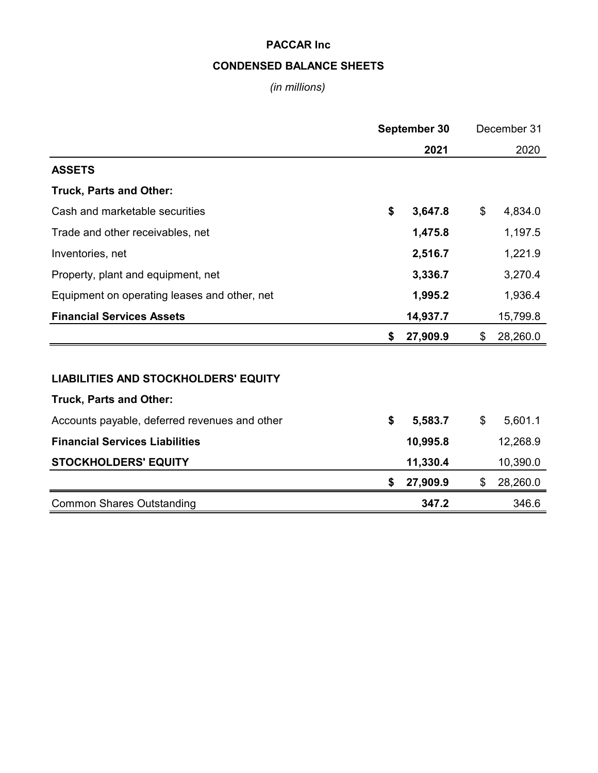## **CONDENSED BALANCE SHEETS**

*(in millions)*

|                                               | September 30 |          | December 31    |
|-----------------------------------------------|--------------|----------|----------------|
|                                               |              | 2021     | 2020           |
| <b>ASSETS</b>                                 |              |          |                |
| <b>Truck, Parts and Other:</b>                |              |          |                |
| Cash and marketable securities                | \$           | 3,647.8  | \$<br>4,834.0  |
| Trade and other receivables, net              |              | 1,475.8  | 1,197.5        |
| Inventories, net                              |              | 2,516.7  | 1,221.9        |
| Property, plant and equipment, net            |              | 3,336.7  | 3,270.4        |
| Equipment on operating leases and other, net  |              | 1,995.2  | 1,936.4        |
| <b>Financial Services Assets</b>              |              | 14,937.7 | 15,799.8       |
|                                               | \$           | 27,909.9 | \$<br>28,260.0 |
|                                               |              |          |                |
| <b>LIABILITIES AND STOCKHOLDERS' EQUITY</b>   |              |          |                |
| <b>Truck, Parts and Other:</b>                |              |          |                |
| Accounts payable, deferred revenues and other | \$           | 5,583.7  | \$<br>5,601.1  |
| <b>Financial Services Liabilities</b>         |              | 10,995.8 | 12,268.9       |
| <b>STOCKHOLDERS' EQUITY</b>                   |              | 11,330.4 | 10,390.0       |
|                                               | S            | 27,909.9 | \$<br>28,260.0 |
| <b>Common Shares Outstanding</b>              |              | 347.2    | 346.6          |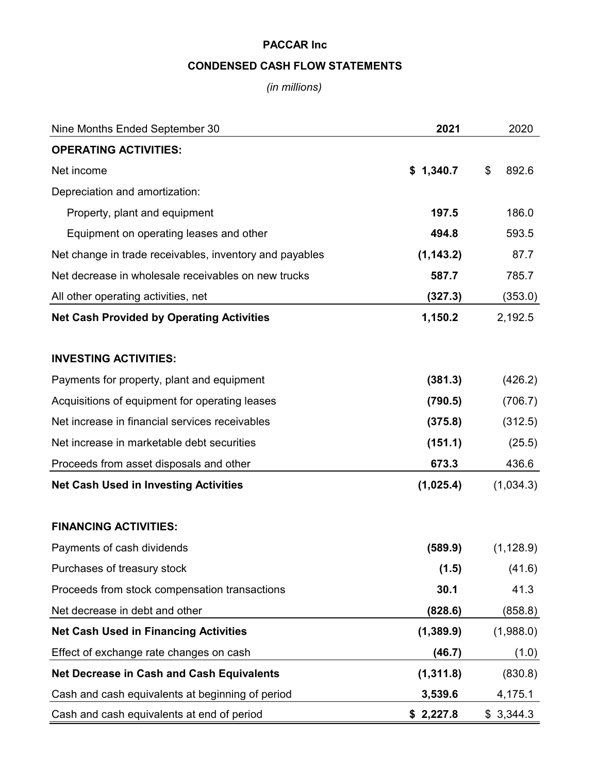# **CONDENSED CASH FLOW STATEMENTS**

## *(in millions)*

| Nine Months Ended September 30                          | 2021       | 2020        |
|---------------------------------------------------------|------------|-------------|
| <b>OPERATING ACTIVITIES:</b>                            |            |             |
| Net income                                              | \$1,340.7  | \$<br>892.6 |
| Depreciation and amortization:                          |            |             |
| Property, plant and equipment                           | 197.5      | 186.0       |
| Equipment on operating leases and other                 | 494.8      | 593.5       |
| Net change in trade receivables, inventory and payables | (1, 143.2) | 87.7        |
| Net decrease in wholesale receivables on new trucks     | 587.7      | 785.7       |
| All other operating activities, net                     | (327.3)    | (353.0)     |
| <b>Net Cash Provided by Operating Activities</b>        | 1,150.2    | 2,192.5     |
| <b>INVESTING ACTIVITIES:</b>                            |            |             |
| Payments for property, plant and equipment              | (381.3)    | (426.2)     |
| Acquisitions of equipment for operating leases          | (790.5)    | (706.7)     |
| Net increase in financial services receivables          | (375.8)    | (312.5)     |
| Net increase in marketable debt securities              | (151.1)    | (25.5)      |
| Proceeds from asset disposals and other                 | 673.3      | 436.6       |
| <b>Net Cash Used in Investing Activities</b>            | (1,025.4)  | (1,034.3)   |
| <b>FINANCING ACTIVITIES:</b>                            |            |             |
| Payments of cash dividends                              | (589.9)    | (1, 128.9)  |
| Purchases of treasury stock                             | (1.5)      | (41.6)      |
| Proceeds from stock compensation transactions           | 30.1       | 41.3        |
| Net decrease in debt and other                          | (828.6)    | (858.8)     |
| <b>Net Cash Used in Financing Activities</b>            | (1,389.9)  | (1,988.0)   |
| Effect of exchange rate changes on cash                 | (46.7)     | (1.0)       |
| <b>Net Decrease in Cash and Cash Equivalents</b>        | (1, 311.8) | (830.8)     |
| Cash and cash equivalents at beginning of period        | 3,539.6    | 4,175.1     |
| Cash and cash equivalents at end of period              | \$2,227.8  | \$3,344.3   |